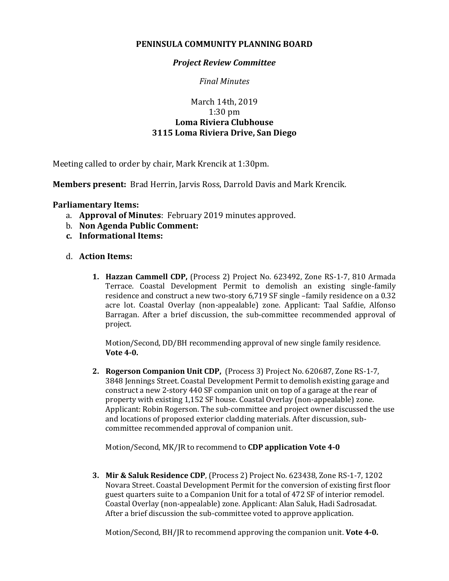## **PENINSULA COMMUNITY PLANNING BOARD**

## *Project Review Committee*

*Final Minutes*

## March 14th, 2019 1:30 pm **Loma Riviera Clubhouse 3115 Loma Riviera Drive, San Diego**

Meeting called to order by chair, Mark Krencik at 1:30pm.

**Members present:** Brad Herrin, Jarvis Ross, Darrold Davis and Mark Krencik.

## **Parliamentary Items:**

- a. **Approval of Minutes**: February 2019 minutes approved.
- b. **Non Agenda Public Comment:**
- **c. Informational Items:**
- d. **Action Items:**
	- **1. Hazzan Cammell CDP,** (Process 2) Project No. 623492, Zone RS-1-7, 810 Armada Terrace. Coastal Development Permit to demolish an existing single-family residence and construct a new two-story 6,719 SF single –family residence on a 0.32 acre lot. Coastal Overlay (non-appealable) zone. Applicant: Taal Safdie, Alfonso Barragan. After a brief discussion, the sub-committee recommended approval of project.

Motion/Second, DD/BH recommending approval of new single family residence. **Vote 4-0.**

**2. Rogerson Companion Unit CDP,** (Process 3) Project No. 620687, Zone RS-1-7, 3848 Jennings Street. Coastal Development Permit to demolish existing garage and construct a new 2-story 440 SF companion unit on top of a garage at the rear of property with existing 1,152 SF house. Coastal Overlay (non-appealable) zone. Applicant: Robin Rogerson. The sub-committee and project owner discussed the use and locations of proposed exterior cladding materials. After discussion, subcommittee recommended approval of companion unit.

Motion/Second, MK/JR to recommend to **CDP application Vote 4-0**

**3. Mir & Saluk Residence CDP**, (Process 2) Project No. 623438, Zone RS-1-7, 1202 Novara Street. Coastal Development Permit for the conversion of existing first floor guest quarters suite to a Companion Unit for a total of 472 SF of interior remodel. Coastal Overlay (non-appealable) zone. Applicant: Alan Saluk, Hadi Sadrosadat. After a brief discussion the sub-committee voted to approve application.

Motion/Second, BH/JR to recommend approving the companion unit. **Vote 4-0.**